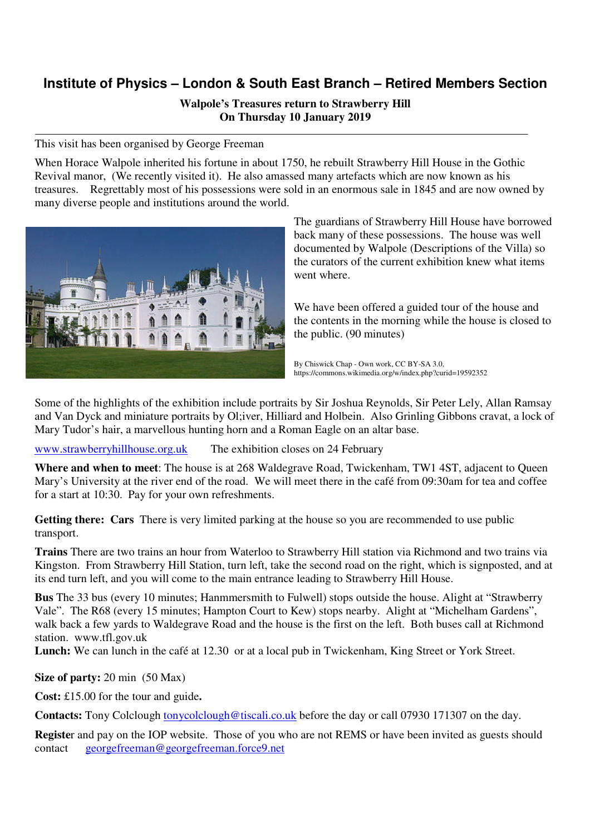## **Institute of Physics – London & South East Branch – Retired Members Section**

## **Walpole's Treasures return to Strawberry Hill On Thursday 10 January 2019**

This visit has been organised by George Freeman

When Horace Walpole inherited his fortune in about 1750, he rebuilt Strawberry Hill House in the Gothic Revival manor, (We recently visited it). He also amassed many artefacts which are now known as his treasures. Regrettably most of his possessions were sold in an enormous sale in 1845 and are now owned by many diverse people and institutions around the world.



The guardians of Strawberry Hill House have borrowed back many of these possessions. The house was well documented by Walpole (Descriptions of the Villa) so the curators of the current exhibition knew what items went where.

We have been offered a guided tour of the house and the contents in the morning while the house is closed to the public. (90 minutes)

By Chiswick Chap - Own work, CC BY-SA 3.0, https://commons.wikimedia.org/w/index.php?curid=19592352

Some of the highlights of the exhibition include portraits by Sir Joshua Reynolds, Sir Peter Lely, Allan Ramsay and Van Dyck and miniature portraits by Ol;iver, Hilliard and Holbein. Also Grinling Gibbons cravat, a lock of Mary Tudor's hair, a marvellous hunting horn and a Roman Eagle on an altar base.

www.strawberryhillhouse.org.uk The exhibition closes on 24 February

**Where and when to meet**: The house is at 268 Waldegrave Road, Twickenham, TW1 4ST, adjacent to Queen Mary's University at the river end of the road. We will meet there in the café from 09:30am for tea and coffee for a start at 10:30. Pay for your own refreshments.

**Getting there: Cars** There is very limited parking at the house so you are recommended to use public transport.

**Trains** There are two trains an hour from Waterloo to Strawberry Hill station via Richmond and two trains via Kingston. From Strawberry Hill Station, turn left, take the second road on the right, which is signposted, and at its end turn left, and you will come to the main entrance leading to Strawberry Hill House.

**Bus** The 33 bus (every 10 minutes; Hanmmersmith to Fulwell) stops outside the house. Alight at "Strawberry Vale". The R68 (every 15 minutes; Hampton Court to Kew) stops nearby. Alight at "Michelham Gardens", walk back a few yards to Waldegrave Road and the house is the first on the left. Both buses call at Richmond station. www.tfl.gov.uk

Lunch: We can lunch in the café at 12.30 or at a local pub in Twickenham, King Street or York Street.

**Size of party:** 20 min (50 Max)

**Cost:** £15.00 for the tour and guide**.** 

**Contacts:** Tony Colclough tonycolclough@tiscali.co.uk before the day or call 07930 171307 on the day.

**Registe**r and pay on the IOP website. Those of you who are not REMS or have been invited as guests should contact georgefreeman@georgefreeman.force9.net